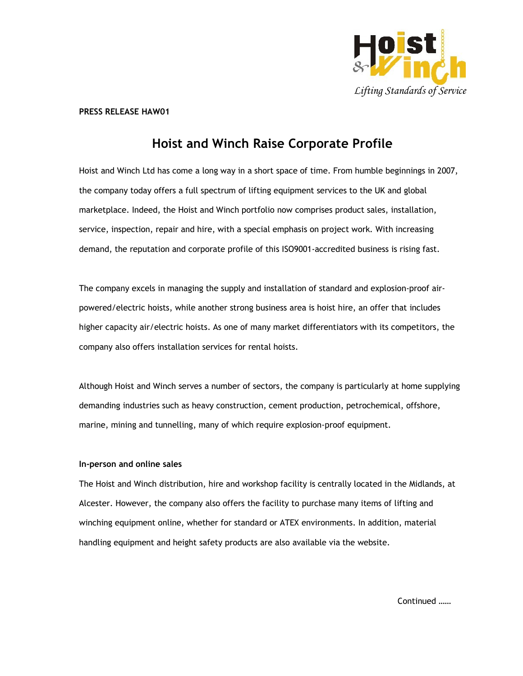

#### PRESS RELEASE HAW01

## Hoist and Winch Raise Corporate Profile

Hoist and Winch Ltd has come a long way in a short space of time. From humble beginnings in 2007, the company today offers a full spectrum of lifting equipment services to the UK and global marketplace. Indeed, the Hoist and Winch portfolio now comprises product sales, installation, service, inspection, repair and hire, with a special emphasis on project work. With increasing demand, the reputation and corporate profile of this ISO9001-accredited business is rising fast.

The company excels in managing the supply and installation of standard and explosion-proof airpowered/electric hoists, while another strong business area is hoist hire, an offer that includes higher capacity air/electric hoists. As one of many market differentiators with its competitors, the company also offers installation services for rental hoists.

Although Hoist and Winch serves a number of sectors, the company is particularly at home supplying demanding industries such as heavy construction, cement production, petrochemical, offshore, marine, mining and tunnelling, many of which require explosion-proof equipment.

## In-person and online sales

The Hoist and Winch distribution, hire and workshop facility is centrally located in the Midlands, at Alcester. However, the company also offers the facility to purchase many items of lifting and winching equipment online, whether for standard or ATEX environments. In addition, material handling equipment and height safety products are also available via the website.

Continued ……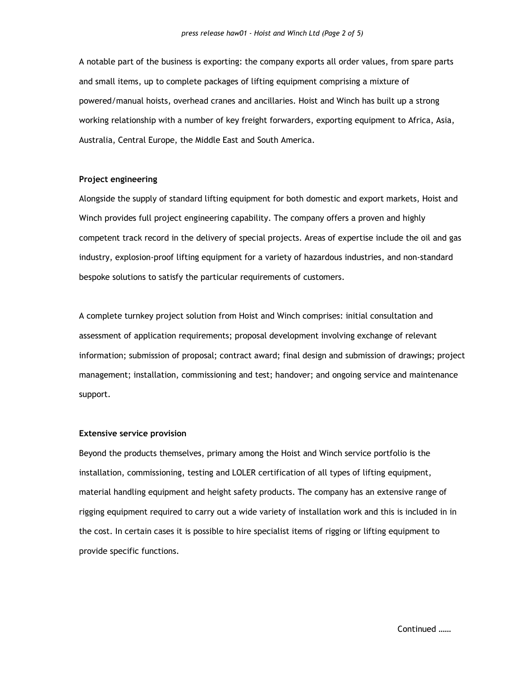A notable part of the business is exporting: the company exports all order values, from spare parts and small items, up to complete packages of lifting equipment comprising a mixture of powered/manual hoists, overhead cranes and ancillaries. Hoist and Winch has built up a strong working relationship with a number of key freight forwarders, exporting equipment to Africa, Asia, Australia, Central Europe, the Middle East and South America.

### Project engineering

Alongside the supply of standard lifting equipment for both domestic and export markets, Hoist and Winch provides full project engineering capability. The company offers a proven and highly competent track record in the delivery of special projects. Areas of expertise include the oil and gas industry, explosion-proof lifting equipment for a variety of hazardous industries, and non-standard bespoke solutions to satisfy the particular requirements of customers.

A complete turnkey project solution from Hoist and Winch comprises: initial consultation and assessment of application requirements; proposal development involving exchange of relevant information; submission of proposal; contract award; final design and submission of drawings; project management; installation, commissioning and test; handover; and ongoing service and maintenance support.

#### Extensive service provision

Beyond the products themselves, primary among the Hoist and Winch service portfolio is the installation, commissioning, testing and LOLER certification of all types of lifting equipment, material handling equipment and height safety products. The company has an extensive range of rigging equipment required to carry out a wide variety of installation work and this is included in in the cost. In certain cases it is possible to hire specialist items of rigging or lifting equipment to provide specific functions.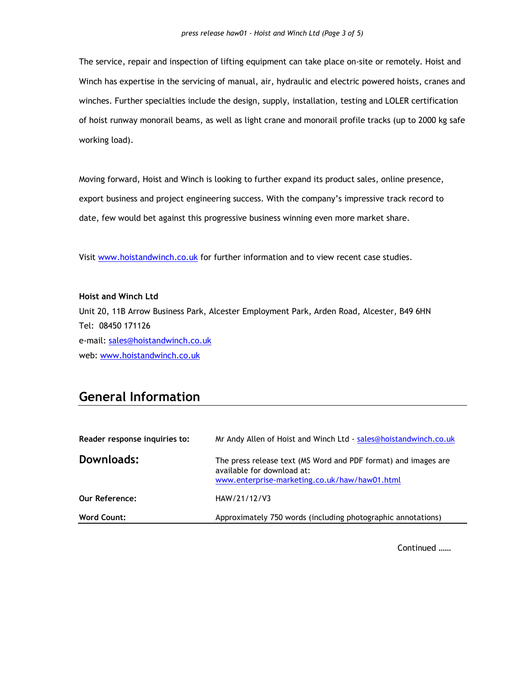The service, repair and inspection of lifting equipment can take place on-site or remotely. Hoist and Winch has expertise in the servicing of manual, air, hydraulic and electric powered hoists, cranes and winches. Further specialties include the design, supply, installation, testing and LOLER certification of hoist runway monorail beams, as well as light crane and monorail profile tracks (up to 2000 kg safe working load).

Moving forward, Hoist and Winch is looking to further expand its product sales, online presence, export business and project engineering success. With the company's impressive track record to date, few would bet against this progressive business winning even more market share.

Visit www.hoistandwinch.co.uk for further information and to view recent case studies.

Hoist and Winch Ltd Unit 20, 11B Arrow Business Park, Alcester Employment Park, Arden Road, Alcester, B49 6HN Tel: 08450 171126 e-mail: sales@hoistandwinch.co.uk web: www.hoistandwinch.co.uk

# General Information

| Reader response inquiries to: | Mr Andy Allen of Hoist and Winch Ltd - sales@hoistandwinch.co.uk                                                                              |
|-------------------------------|-----------------------------------------------------------------------------------------------------------------------------------------------|
| Downloads:                    | The press release text (MS Word and PDF format) and images are<br>available for download at:<br>www.enterprise-marketing.co.uk/haw/haw01.html |
| <b>Our Reference:</b>         | HAW/21/12/V3                                                                                                                                  |
| <b>Word Count:</b>            | Approximately 750 words (including photographic annotations)                                                                                  |

Continued ……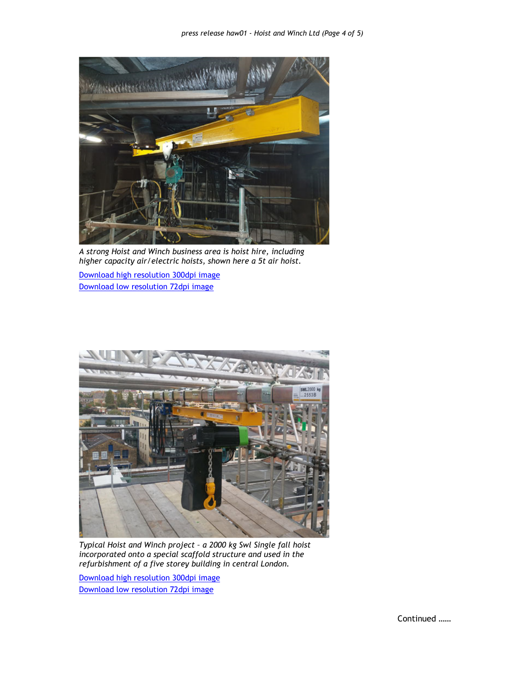

A strong Hoist and Winch business area is hoist hire, including higher capacity air/electric hoists, shown here a 5t air hoist.

Download high resolution 300dpi image Download low resolution 72dpi image



Typical Hoist and Winch project – a 2000 kg Swl Single fall hoist incorporated onto a special scaffold structure and used in the refurbishment of a five storey building in central London.

Download high resolution 300dpi image Download low resolution 72dpi image